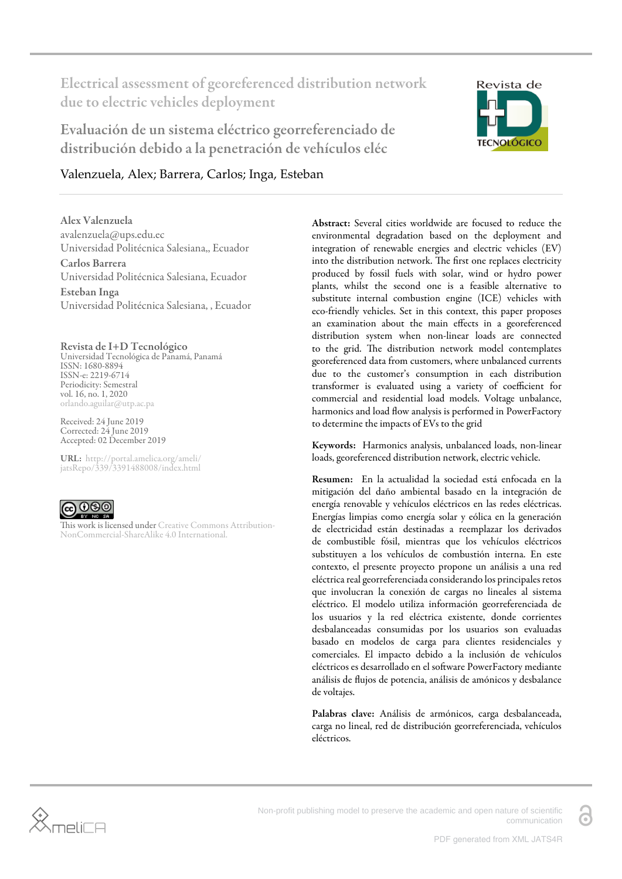Electrical assessment of georeferenced distribution network due to electric vehicles deployment

Evaluación de un sistema eléctrico georreferenciado de distribución debido a la penetración de vehículos eléc



### Valenzuela, Alex; Barrera, Carlos; Inga, Esteban

Alex Valenzuela avalenzuela@ups.edu.ec Universidad Politécnica Salesiana,, Ecuador Carlos Barrera Universidad Politécnica Salesiana, Ecuador Esteban Inga Universidad Politécnica Salesiana, , Ecuador

Revista de I+D Tecnológico Universidad Tecnológica de Panamá, Panamá ISSN: 1680-8894 ISSN-e: 2219-6714 Periodicity: Semestral vol. 16, no. 1, 2020 orlando.aguilar@utp.ac.pa

Received: 24 June 2019 Corrected: 24 June 2019 Accepted: 02 December 2019

URL: [http://portal.amelica.org/ameli/](http://portal.amelica.org/ameli/jatsRepo/339/3391488008/index.html) [jatsRepo/339/3391488008/index.html](http://portal.amelica.org/ameli/jatsRepo/339/3391488008/index.html)



This work is licensed under [Creative Commons Attribution-](https://creativecommons.org/licenses/by-nc-sa/4.0/)[NonCommercial-ShareAlike 4.0 International.](https://creativecommons.org/licenses/by-nc-sa/4.0/)

Abstract: Several cities worldwide are focused to reduce the environmental degradation based on the deployment and integration of renewable energies and electric vehicles (EV) into the distribution network. The first one replaces electricity produced by fossil fuels with solar, wind or hydro power plants, whilst the second one is a feasible alternative to substitute internal combustion engine (ICE) vehicles with eco-friendly vehicles. Set in this context, this paper proposes an examination about the main effects in a georeferenced distribution system when non-linear loads are connected to the grid. The distribution network model contemplates georeferenced data from customers, where unbalanced currents due to the customer's consumption in each distribution transformer is evaluated using a variety of coefficient for commercial and residential load models. Voltage unbalance, harmonics and load flow analysis is performed in PowerFactory to determine the impacts of EVs to the grid

Keywords: Harmonics analysis, unbalanced loads, non-linear loads, georeferenced distribution network, electric vehicle.

Resumen: En la actualidad la sociedad está enfocada en la mitigación del daño ambiental basado en la integración de energía renovable y vehículos eléctricos en las redes eléctricas. Energías limpias como energía solar y eólica en la generación de electricidad están destinadas a reemplazar los derivados de combustible fósil, mientras que los vehículos eléctricos substituyen a los vehículos de combustión interna. En este contexto, el presente proyecto propone un análisis a una red eléctrica real georreferenciada considerando los principales retos que involucran la conexión de cargas no lineales al sistema eléctrico. El modelo utiliza información georreferenciada de los usuarios y la red eléctrica existente, donde corrientes desbalanceadas consumidas por los usuarios son evaluadas basado en modelos de carga para clientes residenciales y comerciales. El impacto debido a la inclusión de vehículos eléctricos es desarrollado en el software PowerFactory mediante análisis de flujos de potencia, análisis de amónicos y desbalance de voltajes.

Palabras clave: Análisis de armónicos, carga desbalanceada, carga no lineal, red de distribución georreferenciada, vehículos eléctricos.



Non-profit publishing model to preserve the academic and open nature of scientific communication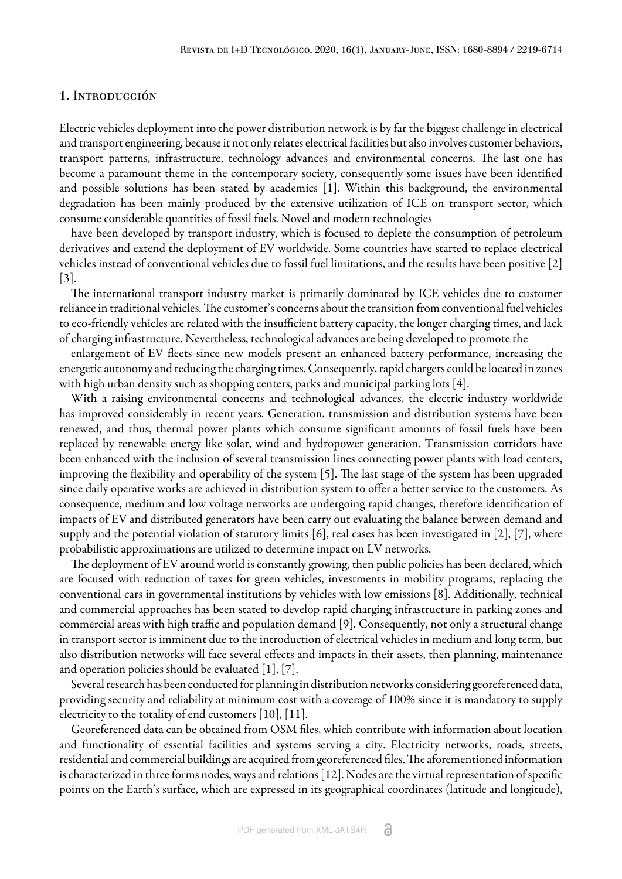### 1. Introducción

Electric vehicles deployment into the power distribution network is by far the biggest challenge in electrical and transport engineering, because it not only relates electrical facilities but also involves customer behaviors, transport patterns, infrastructure, technology advances and environmental concerns. The last one has become a paramount theme in the contemporary society, consequently some issues have been identified and possible solutions has been stated by academics [\[1\]](#page-10-0). Within this background, the environmental degradation has been mainly produced by the extensive utilization of ICE on transport sector, which consume considerable quantities of fossil fuels. Novel and modern technologies

have been developed by transport industry, which is focused to deplete the consumption of petroleum derivatives and extend the deployment of EV worldwide. Some countries have started to replace electrical vehicles instead of conventional vehicles due to fossil fuel limitations, and the results have been positive [[2](#page-10-1)] [[3\]](#page-10-2).

The international transport industry market is primarily dominated by ICE vehicles due to customer reliance in traditional vehicles. The customer's concerns about the transition from conventional fuel vehicles to eco-friendly vehicles are related with the insufficient battery capacity, the longer charging times, and lack of charging infrastructure. Nevertheless, technological advances are being developed to promote the

enlargement of EV fleets since new models present an enhanced battery performance, increasing the energetic autonomy and reducing the charging times. Consequently, rapid chargers could be located in zones with high urban density such as shopping centers, parks and municipal parking lots [[4\]](#page-10-3).

With a raising environmental concerns and technological advances, the electric industry worldwide has improved considerably in recent years. Generation, transmission and distribution systems have been renewed, and thus, thermal power plants which consume significant amounts of fossil fuels have been replaced by renewable energy like solar, wind and hydropower generation. Transmission corridors have been enhanced with the inclusion of several transmission lines connecting power plants with load centers, improving the flexibility and operability of the system [\[5](#page-11-0)]. The last stage of the system has been upgraded since daily operative works are achieved in distribution system to offer a better service to the customers. As consequence, medium and low voltage networks are undergoing rapid changes, therefore identification of impacts of EV and distributed generators have been carry out evaluating the balance between demand and supply and the potential violation of statutory limits [\[6\]](#page-11-1), real cases has been investigated in [[2](#page-10-1)], [\[7\],](#page-11-2) where probabilistic approximations are utilized to determine impact on LV networks.

The deployment of EV around world is constantly growing, then public policies has been declared, which are focused with reduction of taxes for green vehicles, investments in mobility programs, replacing the conventional cars in governmental institutions by vehicles with low emissions [[8\].](#page-11-3) Additionally, technical and commercial approaches has been stated to develop rapid charging infrastructure in parking zones and commercial areas with high traffic and population demand [\[9](#page-11-4)]. Consequently, not only a structural change in transport sector is imminent due to the introduction of electrical vehicles in medium and long term, but also distribution networks will face several effects and impacts in their assets, then planning, maintenance and operation policies should be evaluated [\[1](#page-10-0)], [\[7](#page-11-2)].

Several research has been conducted for planning in distribution networks considering georeferenced data, providing security and reliability at minimum cost with a coverage of 100% since it is mandatory to supply electricity to the totality of end customers [\[10](#page-11-5)], [\[11\]](#page-11-6).

Georeferenced data can be obtained from OSM files, which contribute with information about location and functionality of essential facilities and systems serving a city. Electricity networks, roads, streets, residential and commercial buildings are acquired from georeferenced files. The aforementioned information is characterized in three forms nodes, ways and relations [\[12\]](#page-11-7). Nodes are the virtual representation of specific points on the Earth's surface, which are expressed in its geographical coordinates (latitude and longitude),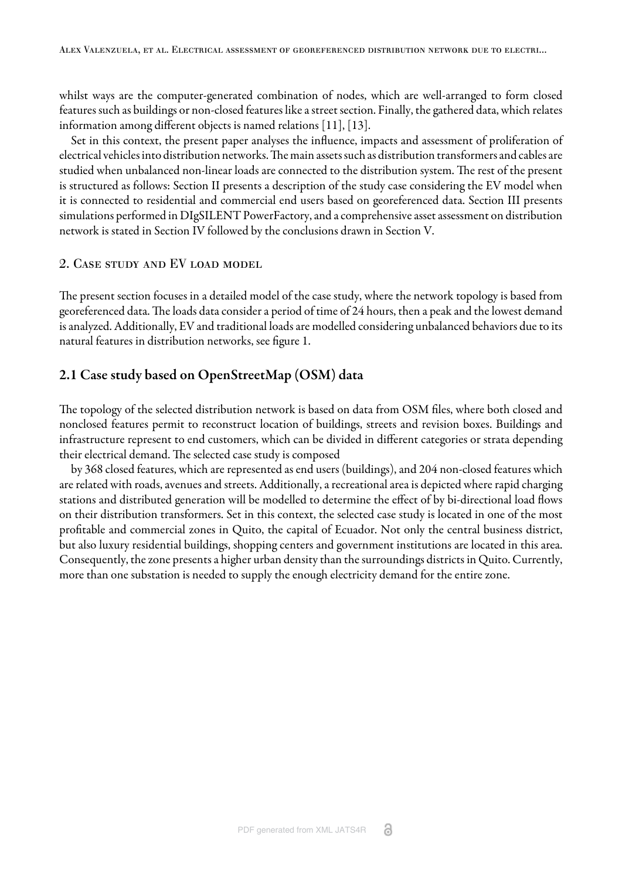whilst ways are the computer-generated combination of nodes, which are well-arranged to form closed features such as buildings or non-closed features like a street section. Finally, the gathered data, which relates information among different objects is named relations [[11\]](#page-11-6), [[13](#page-11-8)].

Set in this context, the present paper analyses the influence, impacts and assessment of proliferation of electrical vehicles into distribution networks. The main assets such as distribution transformers and cables are studied when unbalanced non-linear loads are connected to the distribution system. The rest of the present is structured as follows: Section II presents a description of the study case considering the EV model when it is connected to residential and commercial end users based on georeferenced data. Section III presents simulations performed in DIgSILENT PowerFactory, and a comprehensive asset assessment on distribution network is stated in Section IV followed by the conclusions drawn in Section V.

### 2. Case study and EV load model

The present section focuses in a detailed model of the case study, where the network topology is based from georeferenced data. The loads data consider a period of time of 24 hours, then a peak and the lowest demand is analyzed. Additionally, EV and traditional loads are modelled considering unbalanced behaviors due to its natural features in distribution networks, se[e figure 1.](#page-3-0)

### 2.1 Case study based on OpenStreetMap (OSM) data

The topology of the selected distribution network is based on data from OSM files, where both closed and nonclosed features permit to reconstruct location of buildings, streets and revision boxes. Buildings and infrastructure represent to end customers, which can be divided in different categories or strata depending their electrical demand. The selected case study is composed

by 368 closed features, which are represented as end users (buildings), and 204 non-closed features which are related with roads, avenues and streets. Additionally, a recreational area is depicted where rapid charging stations and distributed generation will be modelled to determine the effect of by bi-directional load flows on their distribution transformers. Set in this context, the selected case study is located in one of the most profitable and commercial zones in Quito, the capital of Ecuador. Not only the central business district, but also luxury residential buildings, shopping centers and government institutions are located in this area. Consequently, the zone presents a higher urban density than the surroundings districts in Quito. Currently, more than one substation is needed to supply the enough electricity demand for the entire zone.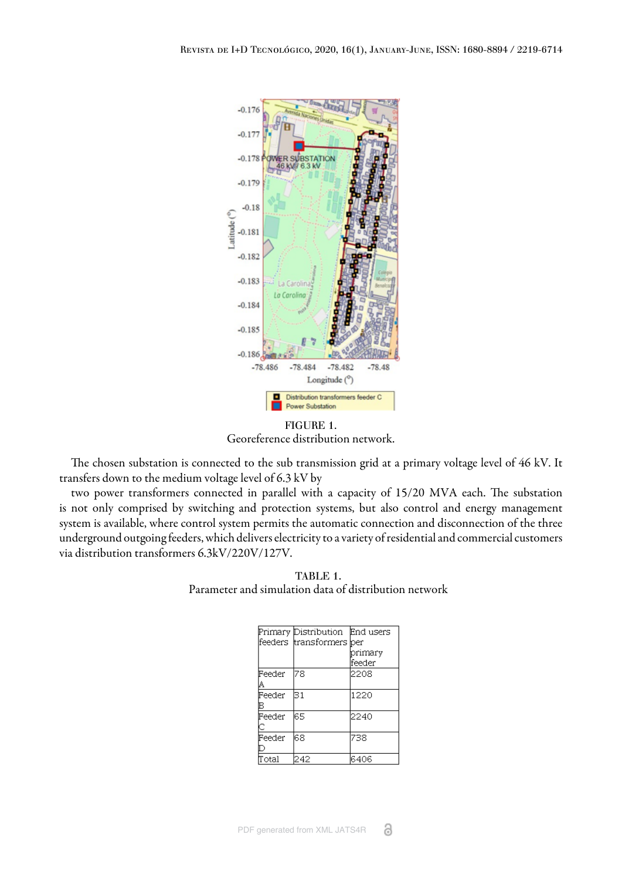<span id="page-3-0"></span>

FIGURE 1. Georeference distribution network.

The chosen substation is connected to the sub transmission grid at a primary voltage level of 46 kV. It transfers down to the medium voltage level of 6.3 kV by

<span id="page-3-1"></span>two power transformers connected in parallel with a capacity of 15/20 MVA each. The substation is not only comprised by switching and protection systems, but also control and energy management system is available, where control system permits the automatic connection and disconnection of the three underground outgoing feeders, which delivers electricity to a variety of residential and commercial customers via distribution transformers 6.3kV/220V/127V.

TABLE 1. Parameter and simulation data of distribution network

|        | Primary Distribution       | End users |
|--------|----------------------------|-----------|
|        | feeders  transformers  per |           |
|        |                            | primary   |
|        |                            | feeder    |
| Feeder | 78                         | 2208      |
| Α      |                            |           |
| Feeder | 31                         | 1220      |
| в      |                            |           |
| Feeder | 65                         | 12240     |
|        |                            |           |
| Feeder | 68                         | 738       |
|        |                            |           |
| `otal  | 242                        | 6406      |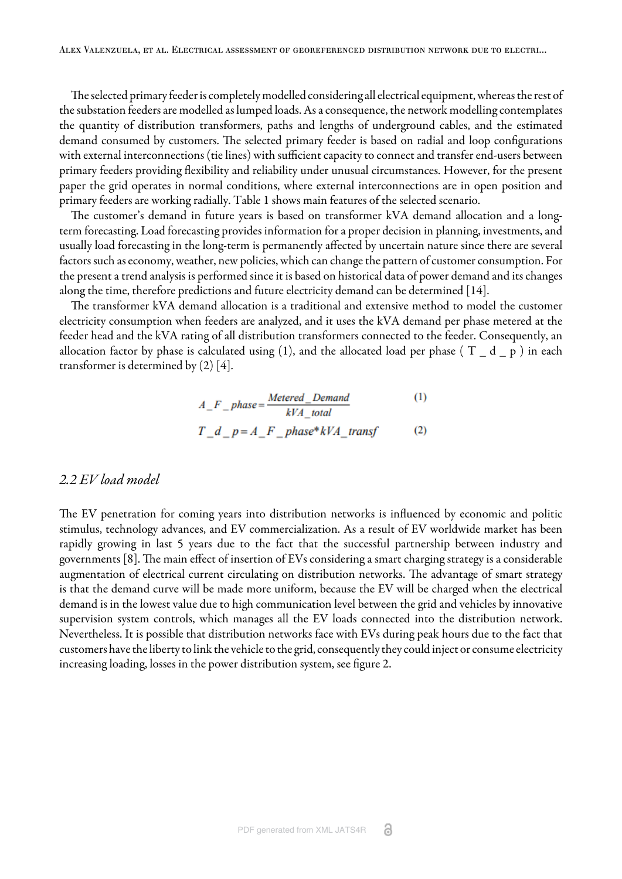The selected primary feeder is completely modelled considering all electrical equipment, whereas the rest of the substation feeders are modelled as lumped loads. As a consequence, the network modelling contemplates the quantity of distribution transformers, paths and lengths of underground cables, and the estimated demand consumed by customers. The selected primary feeder is based on radial and loop configurations with external interconnections (tie lines) with sufficient capacity to connect and transfer end-users between primary feeders providing flexibility and reliability under unusual circumstances. However, for the present paper the grid operates in normal conditions, where external interconnections are in open position and primary feeders are working radially. [Table 1](#page-3-1) shows main features of the selected scenario.

The customer's demand in future years is based on transformer kVA demand allocation and a longterm forecasting. Load forecasting provides information for a proper decision in planning, investments, and usually load forecasting in the long-term is permanently affected by uncertain nature since there are several factors such as economy, weather, new policies, which can change the pattern of customer consumption. For the present a trend analysis is performed since it is based on historical data of power demand and its changes along the time, therefore predictions and future electricity demand can be determined [\[14\]](#page-11-9).

<span id="page-4-0"></span>The transformer kVA demand allocation is a traditional and extensive method to model the customer electricity consumption when feeders are analyzed, and it uses the kVA demand per phase metered at the feeder head and the kVA rating of all distribution transformers connected to the feeder. Consequently, an allocation factor by phase is calculated using [\(1](#page-4-0)), and the allocated load per phase ( $T_d - d_p$ ) in each transformer is determined by  $(2)$  $(2)$  $(2)$  [\[4\]](#page-10-3).

$$
A_{-}F_{-}phase = \frac{   Method_{-}Domain}{kVA_{-}total}
$$
 (1)

$$
T_d_p = A_F - p
$$

### *2.2 EV load model*

The EV penetration for coming years into distribution networks is influenced by economic and politic stimulus, technology advances, and EV commercialization. As a result of EV worldwide market has been rapidly growing in last 5 years due to the fact that the successful partnership between industry and governments [[8\]](#page-11-3). The main effect of insertion of EVs considering a smart charging strategy is a considerable augmentation of electrical current circulating on distribution networks. The advantage of smart strategy is that the demand curve will be made more uniform, because the EV will be charged when the electrical demand is in the lowest value due to high communication level between the grid and vehicles by innovative supervision system controls, which manages all the EV loads connected into the distribution network. Nevertheless. It is possible that distribution networks face with EVs during peak hours due to the fact that customers have the liberty to link the vehicle to the grid, consequently they could inject or consume electricity increasing loading, losses in the power distribution system, see [figure 2.](#page-5-0)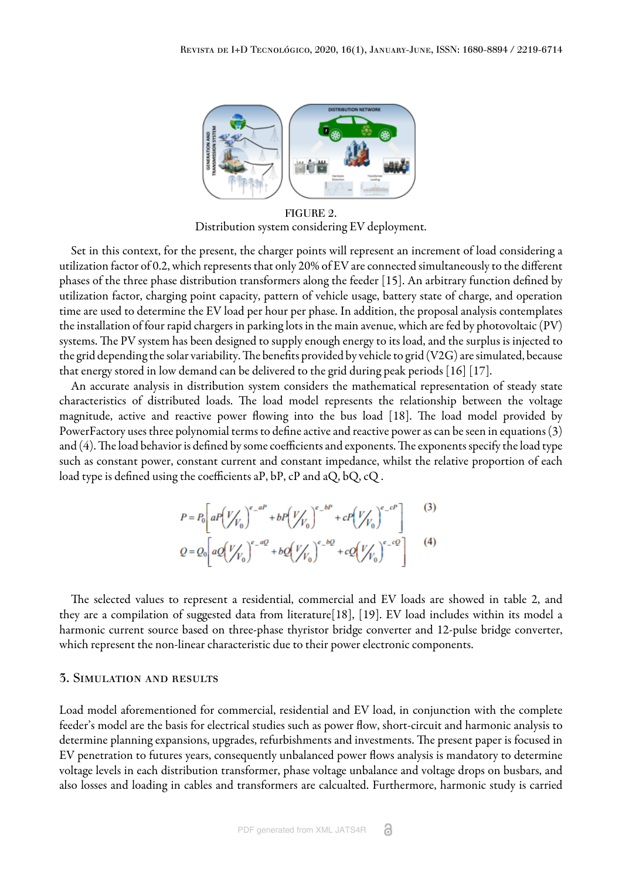<span id="page-5-0"></span>

FIGURE 2. Distribution system considering EV deployment.

Set in this context, for the present, the charger points will represent an increment of load considering a utilization factor of 0.2, which represents that only 20% of EV are connected simultaneously to the different phases of the three phase distribution transformers along the feeder [\[15\]](#page-11-10). An arbitrary function defined by utilization factor, charging point capacity, pattern of vehicle usage, battery state of charge, and operation time are used to determine the EV load per hour per phase. In addition, the proposal analysis contemplates the installation of four rapid chargers in parking lots in the main avenue, which are fed by photovoltaic (PV) systems. The PV system has been designed to supply enough energy to its load, and the surplus is injected to the grid depending the solar variability. The benefits provided by vehicle to grid (V2G) are simulated, because that energy stored in low demand can be delivered to the grid during peak periods [[16](#page-11-11)] [\[17\]](#page-11-12).

An accurate analysis in distribution system considers the mathematical representation of steady state characteristics of distributed loads. The load model represents the relationship between the voltage magnitude, active and reactive power flowing into the bus load [\[18\].](#page-11-13) The load model provided by PowerFactory uses three polynomial terms to define active and reactive power as can be seen in equations ([3](#page-5-1)) and  $(4)$ . The load behavior is defined by some coefficients and exponents. The exponents specify the load type such as constant power, constant current and constant impedance, whilst the relative proportion of each load type is defined using the coefficients aP, bP, cP and aQ, bQ, cQ .

$$
P = P_0 \left[ aP \left( \frac{V}{V_0} \right)^{e_-aP} + bP \left( \frac{V}{V_0} \right)^{e_-bP} + cP \left( \frac{V}{V_0} \right)^{e_-cP} \right]
$$
(3)  

$$
Q = Q_0 \left[ aQ \left( \frac{V}{V_0} \right)^{e_-aQ} + bQ \left( \frac{V}{V_0} \right)^{e_-bQ} + cQ \left( \frac{V}{V_0} \right)^{e_-cQ} \right]
$$
(4)

<span id="page-5-1"></span>The selected values to represent a residential, commercial and EV loads are showed in table 2, and they are a compilation of suggested data from literature[\[18\]](#page-11-13), [\[19](#page-11-14)]. EV load includes within its model a harmonic current source based on three-phase thyristor bridge converter and 12-pulse bridge converter, which represent the non-linear characteristic due to their power electronic components.

### 3. Simulation and results

Load model aforementioned for commercial, residential and EV load, in conjunction with the complete feeder's model are the basis for electrical studies such as power flow, short-circuit and harmonic analysis to determine planning expansions, upgrades, refurbishments and investments. The present paper is focused in EV penetration to futures years, consequently unbalanced power flows analysis is mandatory to determine voltage levels in each distribution transformer, phase voltage unbalance and voltage drops on busbars, and also losses and loading in cables and transformers are calcualted. Furthermore, harmonic study is carried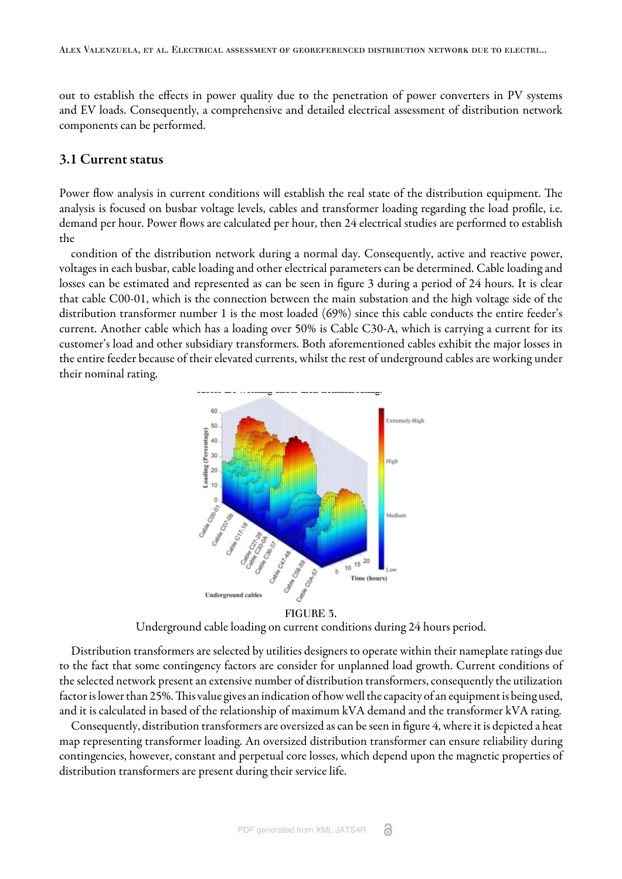out to establish the effects in power quality due to the penetration of power converters in PV systems and EV loads. Consequently, a comprehensive and detailed electrical assessment of distribution network components can be performed.

### 3.1 Current status

Power flow analysis in current conditions will establish the real state of the distribution equipment. The analysis is focused on busbar voltage levels, cables and transformer loading regarding the load profile, i.e. demand per hour. Power flows are calculated per hour, then 24 electrical studies are performed to establish the

<span id="page-6-0"></span>condition of the distribution network during a normal day. Consequently, active and reactive power, voltages in each busbar, cable loading and other electrical parameters can be determined. Cable loading and losses can be estimated and represented as can be seen in [figure 3](#page-6-0) during a period of 24 hours. It is clear that cable C00-01, which is the connection between the main substation and the high voltage side of the distribution transformer number 1 is the most loaded (69%) since this cable conducts the entire feeder's current. Another cable which has a loading over 50% is Cable C30-A, which is carrying a current for its customer's load and other subsidiary transformers. Both aforementioned cables exhibit the major losses in the entire feeder because of their elevated currents, whilst the rest of underground cables are working under their nominal rating.





Underground cable loading on current conditions during 24 hours period.

Distribution transformers are selected by utilities designers to operate within their nameplate ratings due to the fact that some contingency factors are consider for unplanned load growth. Current conditions of the selected network present an extensive number of distribution transformers, consequently the utilization factor is lower than 25%. This value gives an indication of how well the capacity of an equipment is being used, and it is calculated in based of the relationship of maximum kVA demand and the transformer kVA rating.

Consequently, distribution transformers are oversized as can be seen in [figure 4,](#page-7-0) where it is depicted a heat map representing transformer loading. An oversized distribution transformer can ensure reliability during contingencies, however, constant and perpetual core losses, which depend upon the magnetic properties of distribution transformers are present during their service life.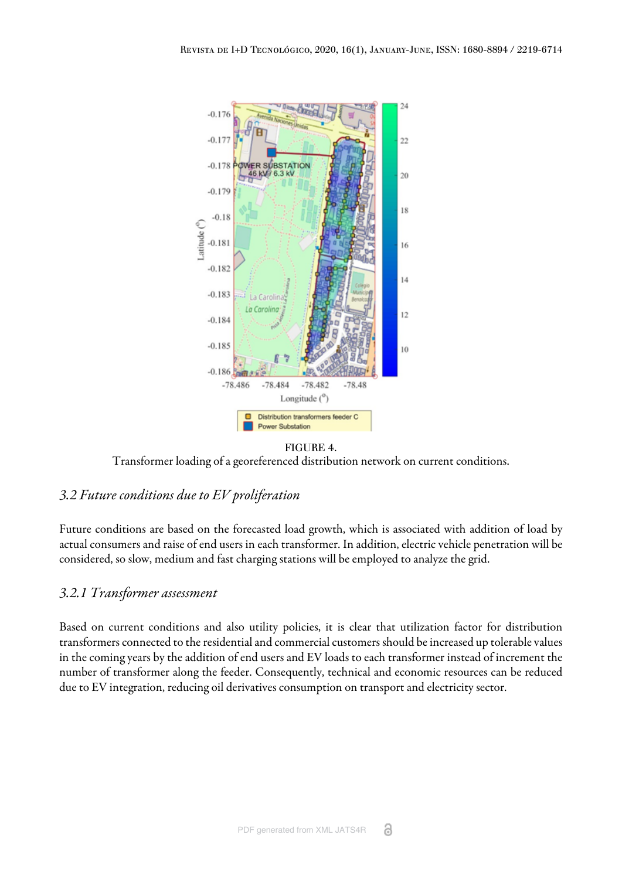<span id="page-7-0"></span>

FIGURE 4.

Transformer loading of a georeferenced distribution network on current conditions.

# *3.2 Future conditions due to EV proliferation*

Future conditions are based on the forecasted load growth, which is associated with addition of load by actual consumers and raise of end users in each transformer. In addition, electric vehicle penetration will be considered, so slow, medium and fast charging stations will be employed to analyze the grid.

## *3.2.1 Transformer assessment*

Based on current conditions and also utility policies, it is clear that utilization factor for distribution transformers connected to the residential and commercial customers should be increased up tolerable values in the coming years by the addition of end users and EV loads to each transformer instead of increment the number of transformer along the feeder. Consequently, technical and economic resources can be reduced due to EV integration, reducing oil derivatives consumption on transport and electricity sector.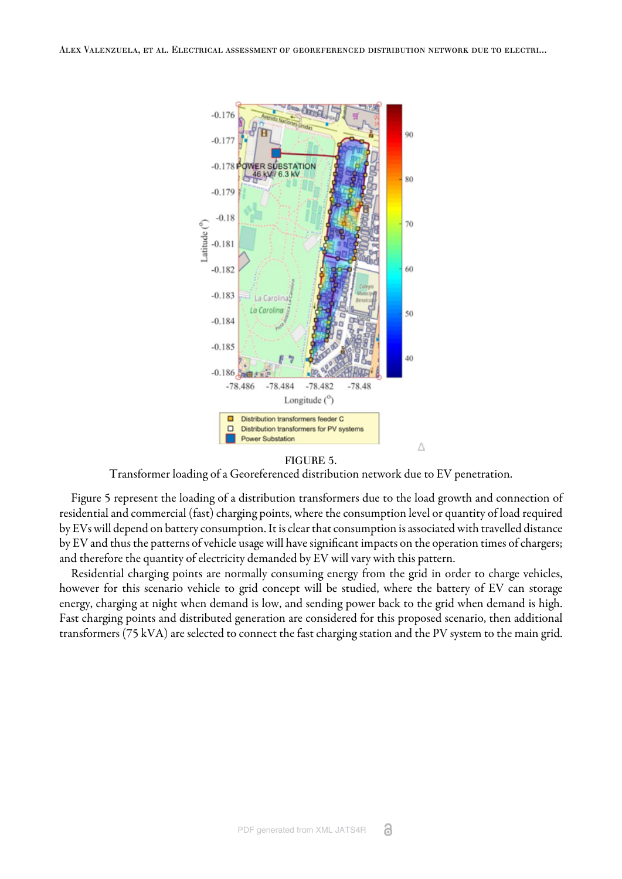<span id="page-8-0"></span>

#### FIGURE 5.

Transformer loading of a Georeferenced distribution network due to EV penetration.

[Figure 5 r](#page-8-0)epresent the loading of a distribution transformers due to the load growth and connection of residential and commercial (fast) charging points, where the consumption level or quantity of load required by EVs will depend on battery consumption. It is clear that consumption is associated with travelled distance by EV and thus the patterns of vehicle usage will have significant impacts on the operation times of chargers; and therefore the quantity of electricity demanded by EV will vary with this pattern.

Residential charging points are normally consuming energy from the grid in order to charge vehicles, however for this scenario vehicle to grid concept will be studied, where the battery of EV can storage energy, charging at night when demand is low, and sending power back to the grid when demand is high. Fast charging points and distributed generation are considered for this proposed scenario, then additional transformers (75 kVA) are selected to connect the fast charging station and the PV system to the main grid.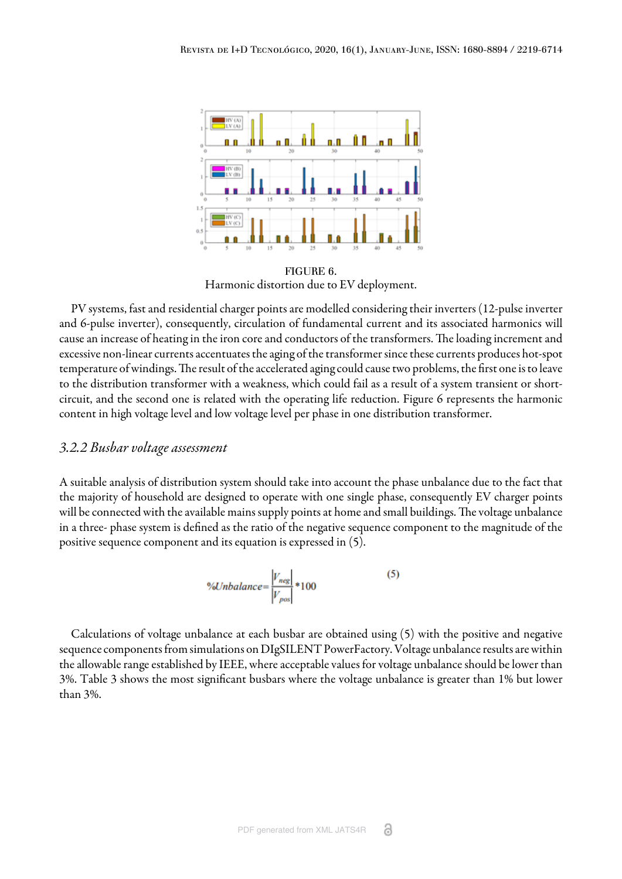<span id="page-9-0"></span>

FIGURE 6. Harmonic distortion due to EV deployment.

PV systems, fast and residential charger points are modelled considering their inverters (12-pulse inverter and 6-pulse inverter), consequently, circulation of fundamental current and its associated harmonics will cause an increase of heating in the iron core and conductors of the transformers. The loading increment and excessive non-linear currents accentuates the aging of the transformer since these currents produces hot-spot temperature of windings. The result of the accelerated aging could cause two problems, the first one is to leave to the distribution transformer with a weakness, which could fail as a result of a system transient or shortcircuit, and the second one is related with the operating life reduction. [Figure 6](#page-9-0) represents the harmonic content in high voltage level and low voltage level per phase in one distribution transformer.

### *3.2.2 Busbar voltage assessment*

A suitable analysis of distribution system should take into account the phase unbalance due to the fact that the majority of household are designed to operate with one single phase, consequently EV charger points will be connected with the available mains supply points at home and small buildings. The voltage unbalance in a three- phase system is defined as the ratio of the negative sequence component to the magnitude of the positive sequence component and its equation is expressed in ([5\)](#page-9-1).

$$
\% Unbalance = \frac{|V_{neg}|}{|V_{pos}|} * 100\tag{5}
$$

<span id="page-9-1"></span>Calculations of voltage unbalance at each busbar are obtained using (5) with the positive and negative sequence components from simulations on DIgSILENT PowerFactory. Voltage unbalance results are within the allowable range established by IEEE, where acceptable values for voltage unbalance should be lower than 3%. [Table 3 s](#page-10-4)hows the most significant busbars where the voltage unbalance is greater than 1% but lower than 3%.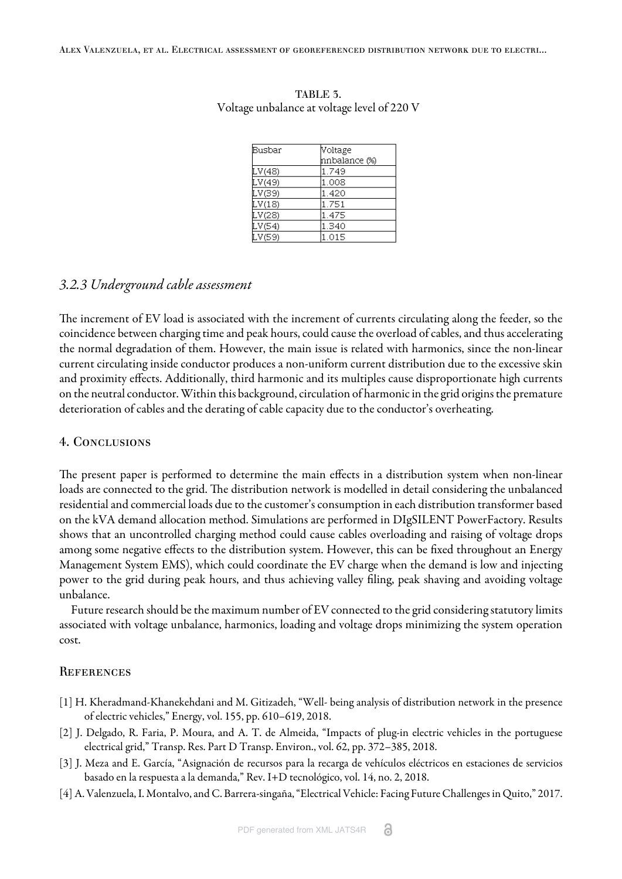| Busbar | Voltage       |  |
|--------|---------------|--|
|        | nnbalance (%) |  |
| LV(48) | 1.749         |  |
| LV(49) | 1.008         |  |
| LV(39) | 1.420         |  |
| LV(18) | 1.751         |  |
| LV(28) | 1.475         |  |
| LV(54) | 1.340         |  |
| LV(59) | 1.015         |  |

#### <span id="page-10-4"></span>TABLE 3. Voltage unbalance at voltage level of 220 V

### *3.2.3 Underground cable assessment*

The increment of EV load is associated with the increment of currents circulating along the feeder, so the coincidence between charging time and peak hours, could cause the overload of cables, and thus accelerating the normal degradation of them. However, the main issue is related with harmonics, since the non-linear current circulating inside conductor produces a non-uniform current distribution due to the excessive skin and proximity effects. Additionally, third harmonic and its multiples cause disproportionate high currents on the neutral conductor. Within this background, circulation of harmonic in the grid origins the premature deterioration of cables and the derating of cable capacity due to the conductor's overheating.

### 4. Conclusions

The present paper is performed to determine the main effects in a distribution system when non-linear loads are connected to the grid. The distribution network is modelled in detail considering the unbalanced residential and commercial loads due to the customer's consumption in each distribution transformer based on the kVA demand allocation method. Simulations are performed in DIgSILENT PowerFactory. Results shows that an uncontrolled charging method could cause cables overloading and raising of voltage drops among some negative effects to the distribution system. However, this can be fixed throughout an Energy Management System EMS), which could coordinate the EV charge when the demand is low and injecting power to the grid during peak hours, and thus achieving valley filing, peak shaving and avoiding voltage unbalance.

Future research should be the maximum number of EV connected to the grid considering statutory limits associated with voltage unbalance, harmonics, loading and voltage drops minimizing the system operation cost.

### **REFERENCES**

- <span id="page-10-0"></span>[1] H. Kheradmand-Khanekehdani and M. Gitizadeh, "Well- being analysis of distribution network in the presence of electric vehicles," Energy, vol. 155, pp. 610–619, 2018.
- <span id="page-10-1"></span>[2] J. Delgado, R. Faria, P. Moura, and A. T. de Almeida, "Impacts of plug-in electric vehicles in the portuguese electrical grid," Transp. Res. Part D Transp. Environ., vol. 62, pp. 372–385, 2018.
- <span id="page-10-2"></span>[3] J. Meza and E. García, "Asignación de recursos para la recarga de vehículos eléctricos en estaciones de servicios basado en la respuesta a la demanda," Rev. I+D tecnológico, vol. 14, no. 2, 2018.
- <span id="page-10-3"></span>[4] A. Valenzuela, I. Montalvo, and C. Barrera-singaña, "Electrical Vehicle: Facing Future Challenges in Quito," 2017.